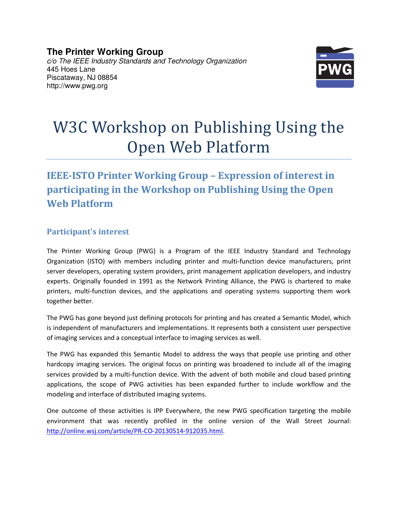**The Printer Working Group**  c/o The IEEE Industry Standards and Technology Organization 445 Hoes Lane Piscataway, NJ 08854 http://www.pwg.org



# W3C Workshop on Publishing Using the Open Web Platform

## **IEEE-ISTO Printer Working Group – Expression of interest in participating in the Workshop on Publishing Using the Open Web Platform**

### **Participant's interest**

The Printer Working Group (PWG) is a Program of the IEEE Industry Standard and Technology Organization (ISTO) with members including printer and multi-function device manufacturers, print server developers, operating system providers, print management application developers, and industry experts. Originally founded in 1991 as the Network Printing Alliance, the PWG is chartered to make printers, multi-function devices, and the applications and operating systems supporting them work together better.

The PWG has gone beyond just defining protocols for printing and has created a Semantic Model, which is independent of manufacturers and implementations. It represents both a consistent user perspective of imaging services and a conceptual interface to imaging services as well.

The PWG has expanded this Semantic Model to address the ways that people use printing and other hardcopy imaging services. The original focus on printing was broadened to include all of the imaging services provided by a multi-function device. With the advent of both mobile and cloud based printing applications, the scope of PWG activities has been expanded further to include workflow and the modeling and interface of distributed imaging systems.

One outcome of these activities is IPP Everywhere, the new PWG specification targeting the mobile environment that was recently profiled in the online version of the Wall Street Journal: http://online.wsj.com/article/PR-CO-20130514-912035.html.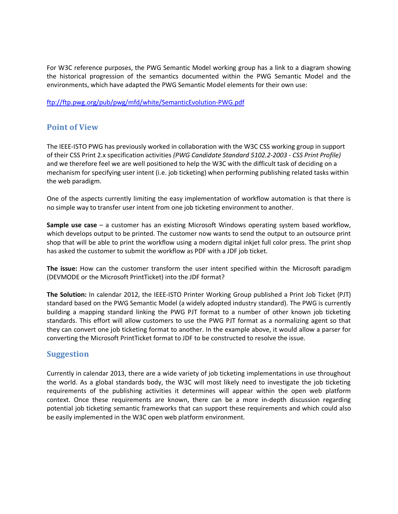For W3C reference purposes, the PWG Semantic Model working group has a link to a diagram showing the historical progression of the semantics documented within the PWG Semantic Model and the environments, which have adapted the PWG Semantic Model elements for their own use:

ftp://ftp.pwg.org/pub/pwg/mfd/white/SemanticEvolution-PWG.pdf

#### **Point of View**

The IEEE-ISTO PWG has previously worked in collaboration with the W3C CSS working group in support of their CSS Print 2.x specification activities *(PWG Candidate Standard 5102.2-2003 - CSS Print Profile)* and we therefore feel we are well positioned to help the W3C with the difficult task of deciding on a mechanism for specifying user intent (i.e. job ticketing) when performing publishing related tasks within the web paradigm.

One of the aspects currently limiting the easy implementation of workflow automation is that there is no simple way to transfer user intent from one job ticketing environment to another.

**Sample use case** – a customer has an existing Microsoft Windows operating system based workflow, which develops output to be printed. The customer now wants to send the output to an outsource print shop that will be able to print the workflow using a modern digital inkjet full color press. The print shop has asked the customer to submit the workflow as PDF with a JDF job ticket.

**The issue:** How can the customer transform the user intent specified within the Microsoft paradigm (DEVMODE or the Microsoft PrintTicket) into the JDF format?

**The Solution:** In calendar 2012, the IEEE-ISTO Printer Working Group published a Print Job Ticket (PJT) standard based on the PWG Semantic Model (a widely adopted industry standard). The PWG is currently building a mapping standard linking the PWG PJT format to a number of other known job ticketing standards. This effort will allow customers to use the PWG PJT format as a normalizing agent so that they can convert one job ticketing format to another. In the example above, it would allow a parser for converting the Microsoft PrintTicket format to JDF to be constructed to resolve the issue.

#### **Suggestion**

Currently in calendar 2013, there are a wide variety of job ticketing implementations in use throughout the world. As a global standards body, the W3C will most likely need to investigate the job ticketing requirements of the publishing activities it determines will appear within the open web platform context. Once these requirements are known, there can be a more in-depth discussion regarding potential job ticketing semantic frameworks that can support these requirements and which could also be easily implemented in the W3C open web platform environment.